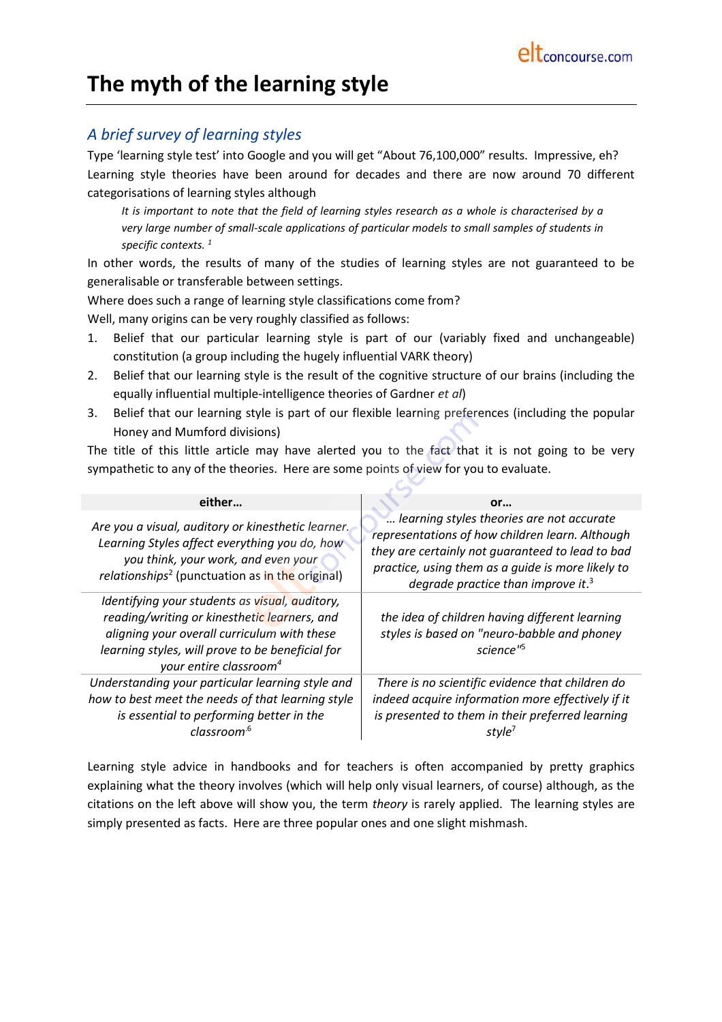# **The myth of the learning style**

# *A brief survey of learning styles*

Type 'learning style test' into Google and you will get "About 76,100,000" results. Impressive, eh? Learning style theories have been around for decades and there are now around 70 different categorisations of learning styles although

*It is important to note that the field of learning styles research as a whole is characterised by a very large number of small-scale applications of particular models to small samples of students in specific contexts. <sup>1</sup>*

In other words, the results of many of the studies of learning styles are not guaranteed to be generalisable or transferable between settings.

Where does such a range of learning style classifications come from?

Well, many origins can be very roughly classified as follows:

- 1. Belief that our particular learning style is part of our (variably fixed and unchangeable) constitution (a group including the hugely influential VARK theory)
- 2. Belief that our learning style is the result of the cognitive structure of our brains (including the equally influential multiple-intelligence theories of Gardner *et al*)
- 3. Belief that our learning style is part of our flexible learning preferences (including the popular Honey and Mumford divisions)

The title of this little article may have alerted you to the fact that it is not going to be very sympathetic to any of the theories. Here are some points of view for you to evaluate.

| either                                                                                                                                                                                                                                  | or                                                                                                                                                                                                                                                      |
|-----------------------------------------------------------------------------------------------------------------------------------------------------------------------------------------------------------------------------------------|---------------------------------------------------------------------------------------------------------------------------------------------------------------------------------------------------------------------------------------------------------|
| Are you a visual, auditory or kinesthetic learner.<br>Learning Styles affect everything you do, how<br>you think, your work, and even your<br>relationships <sup>2</sup> (punctuation as in the original)                               | learning styles theories are not accurate<br>representations of how children learn. Although<br>they are certainly not guaranteed to lead to bad<br>practice, using them as a guide is more likely to<br>degrade practice than improve it. <sup>3</sup> |
| Identifying your students as visual, auditory,<br>reading/writing or kinesthetic learners, and<br>aligning your overall curriculum with these<br>learning styles, will prove to be beneficial for<br>your entire classroom <sup>4</sup> | the idea of children having different learning<br>styles is based on "neuro-babble and phoney<br>science" <sup>5</sup>                                                                                                                                  |
| Understanding your particular learning style and<br>how to best meet the needs of that learning style<br>is essential to performing better in the<br>classroom <sup>.6</sup>                                                            | There is no scientific evidence that children do<br>indeed acquire information more effectively if it<br>is presented to them in their preferred learning                                                                                               |

Learning style advice in handbooks and for teachers is often accompanied by pretty graphics explaining what the theory involves (which will help only visual learners, of course) although, as the citations on the left above will show you, the term *theory* is rarely applied. The learning styles are simply presented as facts. Here are three popular ones and one slight mishmash.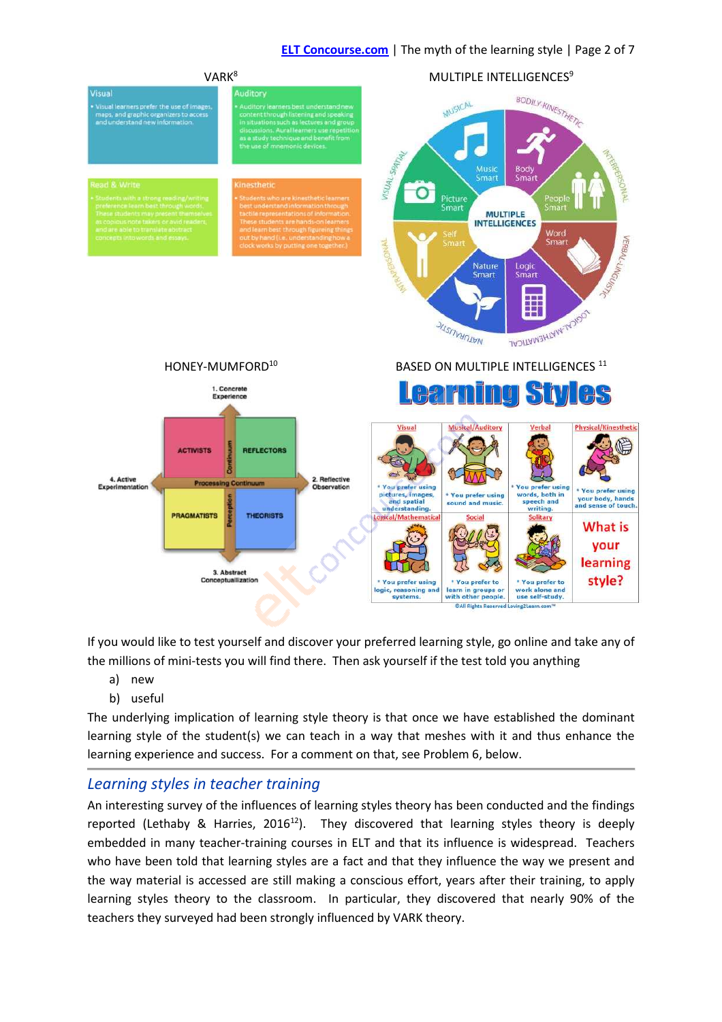# **ELT Concourse.com** | The myth of the learning style | Page 2 of 7



If you would like to test yourself and discover your preferred learning style, go online and take any of the millions of mini-tests you will find there. Then ask yourself if the test told you anything

- a) new
- b) useful

The underlying implication of learning style theory is that once we have established the dominant learning style of the student(s) we can teach in a way that meshes with it and thus enhance the learning experience and success. For a comment on that, see Problem 6, below.

# *Learning styles in teacher training*

An interesting survey of the influences of learning styles theory has been conducted and the findings reported (Lethaby & Harries, 2016<sup>12</sup>). They discovered that learning styles theory is deeply embedded in many teacher-training courses in ELT and that its influence is widespread. Teachers who have been told that learning styles are a fact and that they influence the way we present and the way material is accessed are still making a conscious effort, years after their training, to apply learning styles theory to the classroom. In particular, they discovered that nearly 90% of the teachers they surveyed had been strongly influenced by VARK theory.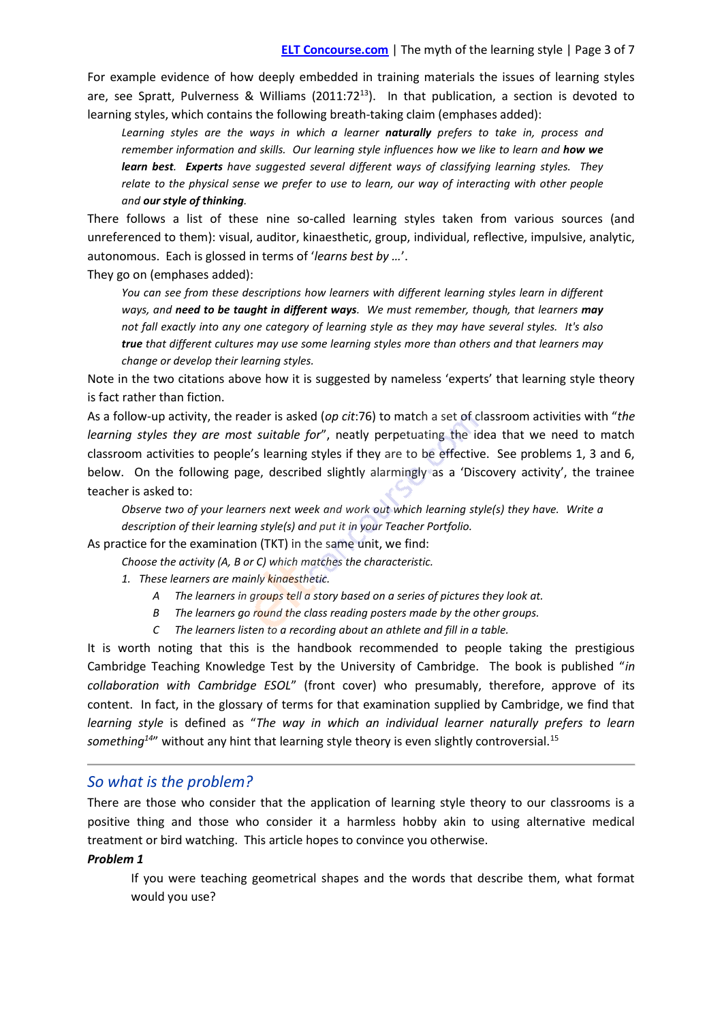For example evidence of how deeply embedded in training materials the issues of learning styles are, see Spratt, Pulverness & Williams (2011:72<sup>13</sup>). In that publication, a section is devoted to learning styles, which contains the following breath-taking claim (emphases added):

*Learning styles are the ways in which a learner naturally prefers to take in, process and remember information and skills. Our learning style influences how we like to learn and how we learn best. Experts have suggested several different ways of classifying learning styles. They relate to the physical sense we prefer to use to learn, our way of interacting with other people and our style of thinking.*

There follows a list of these nine so-called learning styles taken from various sources (and unreferenced to them): visual, auditor, kinaesthetic, group, individual, reflective, impulsive, analytic, autonomous. Each is glossed in terms of '*learns best by …*'.

They go on (emphases added):

*You can see from these descriptions how learners with different learning styles learn in different ways, and need to be taught in different ways. We must remember, though, that learners may not fall exactly into any one category of learning style as they may have several styles. It's also true that different cultures may use some learning styles more than others and that learners may change or develop their learning styles.*

Note in the two citations above how it is suggested by nameless 'experts' that learning style theory is fact rather than fiction.

As a follow-up activity, the reader is asked (*op cit*:76) to match a set of classroom activities with "*the learning styles they are most suitable for*", neatly perpetuating the idea that we need to match classroom activities to people's learning styles if they are to be effective. See problems 1, 3 and 6, below. On the following page, described slightly alarmingly as a 'Discovery activity', the trainee teacher is asked to:

*Observe two of your learners next week and work out which learning style(s) they have. Write a description of their learning style(s) and put it in your Teacher Portfolio.*

As practice for the examination (TKT) in the same unit, we find:

*Choose the activity (A, B or C) which matches the characteristic.*

- *1. These learners are mainly kinaesthetic.*
	- *A The learners in groups tell a story based on a series of pictures they look at.*
	- *B The learners go round the class reading posters made by the other groups.*
	- *C The learners listen to a recording about an athlete and fill in a table.*

It is worth noting that this is the handbook recommended to people taking the prestigious Cambridge Teaching Knowledge Test by the University of Cambridge. The book is published "*in collaboration with Cambridge ESOL*" (front cover) who presumably, therefore, approve of its content. In fact, in the glossary of terms for that examination supplied by Cambridge, we find that *learning style* is defined as "*The way in which an individual learner naturally prefers to learn* something<sup>14"</sup> without any hint that learning style theory is even slightly controversial.<sup>15</sup>

# *So what is the problem?*

There are those who consider that the application of learning style theory to our classrooms is a positive thing and those who consider it a harmless hobby akin to using alternative medical treatment or bird watching. This article hopes to convince you otherwise.

## *Problem 1*

If you were teaching geometrical shapes and the words that describe them, what format would you use?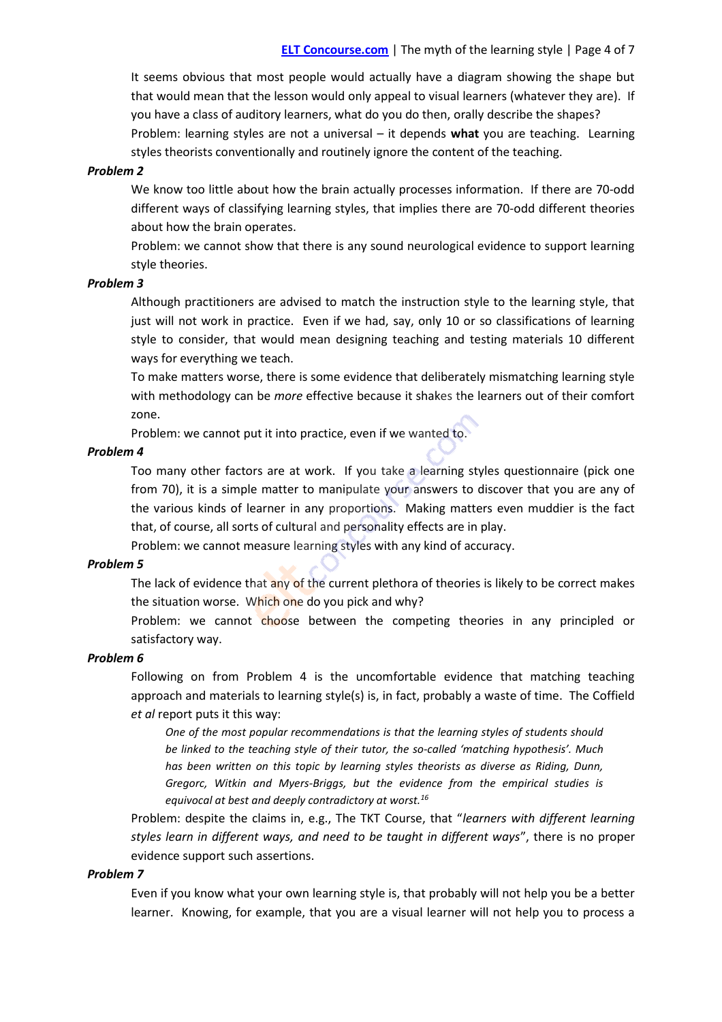It seems obvious that most people would actually have a diagram showing the shape but that would mean that the lesson would only appeal to visual learners (whatever they are). If you have a class of auditory learners, what do you do then, orally describe the shapes?

Problem: learning styles are not a universal – it depends **what** you are teaching. Learning styles theorists conventionally and routinely ignore the content of the teaching.

## *Problem 2*

We know too little about how the brain actually processes information. If there are 70-odd different ways of classifying learning styles, that implies there are 70-odd different theories about how the brain operates.

Problem: we cannot show that there is any sound neurological evidence to support learning style theories.

## *Problem 3*

Although practitioners are advised to match the instruction style to the learning style, that just will not work in practice. Even if we had, say, only 10 or so classifications of learning style to consider, that would mean designing teaching and testing materials 10 different ways for everything we teach.

To make matters worse, there is some evidence that deliberately mismatching learning style with methodology can be *more* effective because it shakes the learners out of their comfort zone.

Problem: we cannot put it into practice, even if we wanted to.

## *Problem 4*

Too many other factors are at work. If you take a learning styles questionnaire (pick one from 70), it is a simple matter to manipulate your answers to discover that you are any of the various kinds of learner in any proportions. Making matters even muddier is the fact that, of course, all sorts of cultural and personality effects are in play.

Problem: we cannot measure learning styles with any kind of accuracy.

## *Problem 5*

The lack of evidence that any of the current plethora of theories is likely to be correct makes the situation worse. Which one do you pick and why?

Problem: we cannot choose between the competing theories in any principled or satisfactory way.

## *Problem 6*

Following on from Problem 4 is the uncomfortable evidence that matching teaching approach and materials to learning style(s) is, in fact, probably a waste of time. The Coffield *et al* report puts it this way:

*One of the most popular recommendations is that the learning styles of students should be linked to the teaching style of their tutor, the so-called 'matching hypothesis'. Much has been written on this topic by learning styles theorists as diverse as Riding, Dunn, Gregorc, Witkin and Myers-Briggs, but the evidence from the empirical studies is equivocal at best and deeply contradictory at worst.<sup>16</sup>*

Problem: despite the claims in, e.g., The TKT Course, that "*learners with different learning styles learn in different ways, and need to be taught in different ways*", there is no proper evidence support such assertions.

## *Problem 7*

Even if you know what your own learning style is, that probably will not help you be a better learner. Knowing, for example, that you are a visual learner will not help you to process a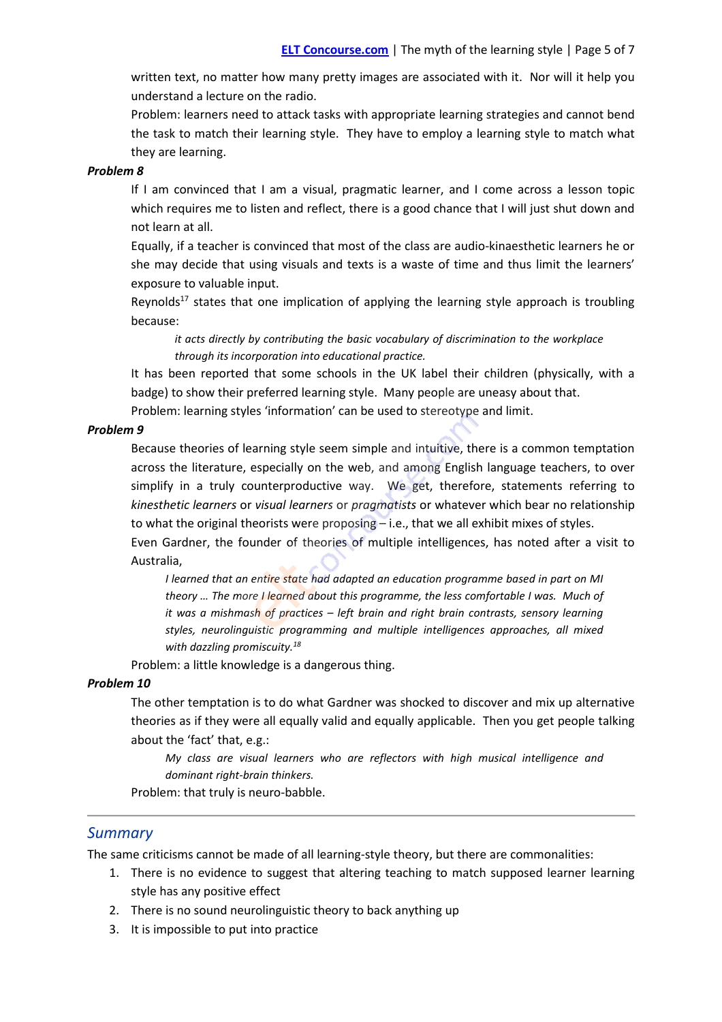written text, no matter how many pretty images are associated with it. Nor will it help you understand a lecture on the radio.

Problem: learners need to attack tasks with appropriate learning strategies and cannot bend the task to match their learning style. They have to employ a learning style to match what they are learning.

## *Problem 8*

If I am convinced that I am a visual, pragmatic learner, and I come across a lesson topic which requires me to listen and reflect, there is a good chance that I will just shut down and not learn at all.

Equally, if a teacher is convinced that most of the class are audio-kinaesthetic learners he or she may decide that using visuals and texts is a waste of time and thus limit the learners' exposure to valuable input.

Reynolds<sup>17</sup> states that one implication of applying the learning style approach is troubling because:

*it acts directly by contributing the basic vocabulary of discrimination to the workplace through its incorporation into educational practice.*

It has been reported that some schools in the UK label their children (physically, with a badge) to show their preferred learning style. Many people are uneasy about that.

Problem: learning styles 'information' can be used to stereotype and limit.

## *Problem 9*

Because theories of learning style seem simple and intuitive, there is a common temptation across the literature, especially on the web, and among English language teachers, to over simplify in a truly counterproductive way. We get, therefore, statements referring to *kinesthetic learners* or *visual learners* or *pragmatists* or whatever which bear no relationship to what the original theorists were proposing – i.e., that we all exhibit mixes of styles. Even Gardner, the founder of theories of multiple intelligences, has noted after a visit to

Australia,

*I learned that an entire state had adapted an education programme based in part on MI theory … The more I learned about this programme, the less comfortable I was. Much of it was a mishmash of practices – left brain and right brain contrasts, sensory learning styles, neurolinguistic programming and multiple intelligences approaches, all mixed with dazzling promiscuity.<sup>18</sup>*

Problem: a little knowledge is a dangerous thing.

## *Problem 10*

The other temptation is to do what Gardner was shocked to discover and mix up alternative theories as if they were all equally valid and equally applicable. Then you get people talking about the 'fact' that, e.g.:

*My class are visual learners who are reflectors with high musical intelligence and dominant right-brain thinkers.*

Problem: that truly is neuro-babble.

## *Summary*

The same criticisms cannot be made of all learning-style theory, but there are commonalities:

- 1. There is no evidence to suggest that altering teaching to match supposed learner learning style has any positive effect
- 2. There is no sound neurolinguistic theory to back anything up
- 3. It is impossible to put into practice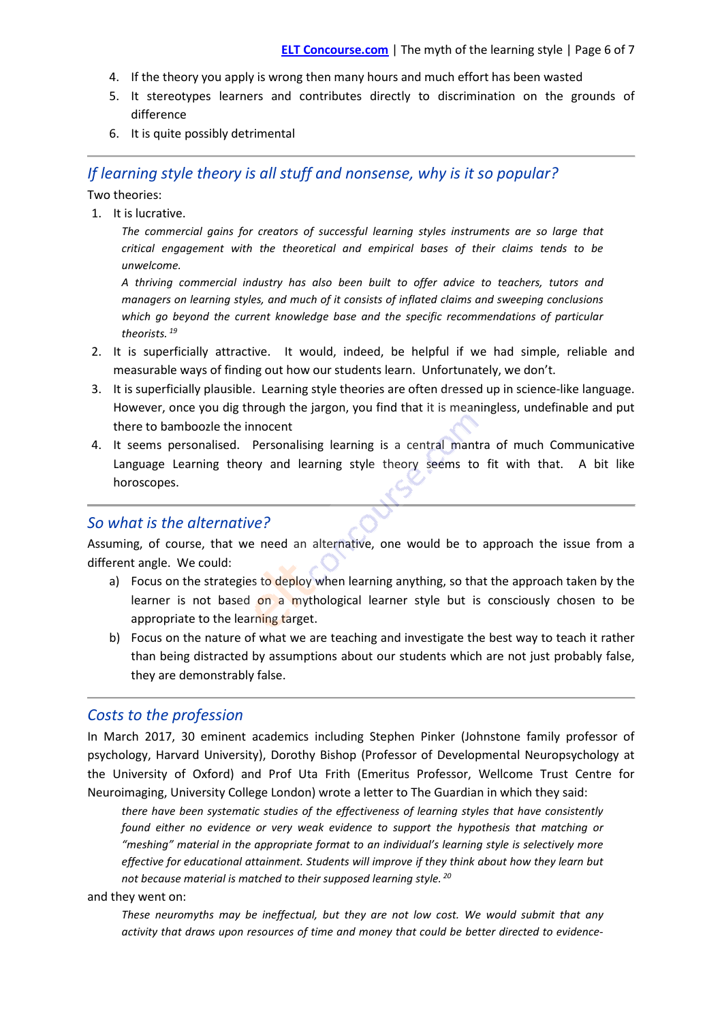- 4. If the theory you apply is wrong then many hours and much effort has been wasted
- 5. It stereotypes learners and contributes directly to discrimination on the grounds of difference
- 6. It is quite possibly detrimental

# *If learning style theory is all stuff and nonsense, why is it so popular?*

Two theories:

1. It is lucrative.

*The commercial gains for creators of successful learning styles instruments are so large that critical engagement with the theoretical and empirical bases of their claims tends to be unwelcome.*

*A thriving commercial industry has also been built to offer advice to teachers, tutors and managers on learning styles, and much of it consists of inflated claims and sweeping conclusions which go beyond the current knowledge base and the specific recommendations of particular theorists. <sup>19</sup>*

- 2. It is superficially attractive. It would, indeed, be helpful if we had simple, reliable and measurable ways of finding out how our students learn. Unfortunately, we don't.
- 3. It is superficially plausible. Learning style theories are often dressed up in science-like language. However, once you dig through the jargon, you find that it is meaningless, undefinable and put there to bamboozle the innocent
- 4. It seems personalised. Personalising learning is a central mantra of much Communicative Language Learning theory and learning style theory seems to fit with that. A bit like horoscopes.

# *So what is the alternative?*

Assuming, of course, that we need an alternative, one would be to approach the issue from a different angle. We could:

- a) Focus on the strategies to deploy when learning anything, so that the approach taken by the learner is not based on a mythological learner style but is consciously chosen to be appropriate to the learning target.
- b) Focus on the nature of what we are teaching and investigate the best way to teach it rather than being distracted by assumptions about our students which are not just probably false, they are demonstrably false.

# *Costs to the profession*

In March 2017, 30 eminent academics including Stephen Pinker (Johnstone family professor of psychology, Harvard University), Dorothy Bishop (Professor of Developmental Neuropsychology at the University of Oxford) and Prof Uta Frith (Emeritus Professor, Wellcome Trust Centre for Neuroimaging, University College London) wrote a letter to The Guardian in which they said:

*there have been systematic studies of the effectiveness of learning styles that have consistently found either no evidence or very weak evidence to support the hypothesis that matching or "meshing" material in the appropriate format to an individual's learning style is selectively more effective for educational attainment. Students will improve if they think about how they learn but not because material is matched to their supposed learning style. <sup>20</sup>*

## and they went on:

*These neuromyths may be ineffectual, but they are not low cost. We would submit that any activity that draws upon resources of time and money that could be better directed to evidence-*